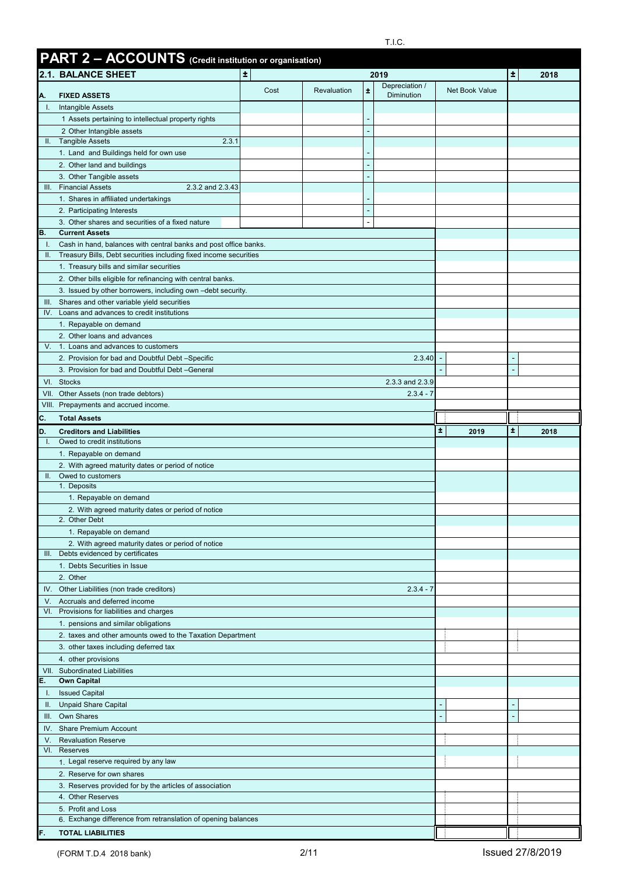|              | <b>PART 2 - ACCOUNTS</b> (Credit institution or organisation)                               |               |             |   |                                |                |      |      |
|--------------|---------------------------------------------------------------------------------------------|---------------|-------------|---|--------------------------------|----------------|------|------|
|              | 2.1. BALANCE SHEET                                                                          | $\pm$<br>2019 |             |   |                                | 士              | 2018 |      |
|              | <b>FIXED ASSETS</b>                                                                         | Cost          | Revaluation | Ŧ | Depreciation /<br>Diminution   | Net Book Value |      |      |
| А.<br>Ч.     | Intangible Assets                                                                           |               |             |   |                                |                |      |      |
|              | 1 Assets pertaining to intellectual property rights                                         |               |             |   |                                |                |      |      |
|              | 2 Other Intangible assets                                                                   |               |             |   |                                |                |      |      |
| H.           | 2.3.1<br><b>Tangible Assets</b>                                                             |               |             |   |                                |                |      |      |
|              | 1. Land and Buildings held for own use                                                      |               |             |   |                                |                |      |      |
|              | 2. Other land and buildings<br>3. Other Tangible assets                                     |               |             |   |                                |                |      |      |
| III.         | <b>Financial Assets</b><br>2.3.2 and 2.3.43                                                 |               |             |   |                                |                |      |      |
|              | 1. Shares in affiliated undertakings                                                        |               |             |   |                                |                |      |      |
|              | 2. Participating Interests                                                                  |               |             |   |                                |                |      |      |
| В.           | 3. Other shares and securities of a fixed nature                                            |               |             |   |                                |                |      |      |
| Π.           | <b>Current Assets</b><br>Cash in hand, balances with central banks and post office banks.   |               |             |   |                                |                |      |      |
| H.           | Treasury Bills, Debt securities including fixed income securities                           |               |             |   |                                |                |      |      |
|              | 1. Treasury bills and similar securities                                                    |               |             |   |                                |                |      |      |
|              | 2. Other bills eligible for refinancing with central banks.                                 |               |             |   |                                |                |      |      |
|              | 3. Issued by other borrowers, including own -debt security.                                 |               |             |   |                                |                |      |      |
| III.         | Shares and other variable yield securities<br>IV. Loans and advances to credit institutions |               |             |   |                                |                |      |      |
|              | 1. Repayable on demand                                                                      |               |             |   |                                |                |      |      |
|              | 2. Other loans and advances                                                                 |               |             |   |                                |                |      |      |
| V.           | 1. Loans and advances to customers                                                          |               |             |   |                                |                |      |      |
|              | 2. Provision for bad and Doubtful Debt-Specific                                             |               |             |   | 2.3.40                         |                |      |      |
|              | 3. Provision for bad and Doubtful Debt-General                                              |               |             |   |                                |                |      |      |
|              | VI. Stocks<br>VII. Other Assets (non trade debtors)                                         |               |             |   | 2.3.3 and 2.3.9<br>$2.3.4 - 7$ |                |      |      |
|              | VIII. Prepayments and accrued income.                                                       |               |             |   |                                |                |      |      |
| C.           | <b>Total Assets</b>                                                                         |               |             |   |                                |                |      |      |
| D.           | <b>Creditors and Liabilities</b>                                                            |               |             |   |                                | Ŧ.<br>2019     | 士    | 2018 |
| $\mathbf{L}$ | Owed to credit institutions                                                                 |               |             |   |                                |                |      |      |
|              | 1. Repayable on demand                                                                      |               |             |   |                                |                |      |      |
| II.          | 2. With agreed maturity dates or period of notice<br>Owed to customers                      |               |             |   |                                |                |      |      |
|              | 1. Deposits                                                                                 |               |             |   |                                |                |      |      |
|              | 1. Repayable on demand                                                                      |               |             |   |                                |                |      |      |
|              | 2. With agreed maturity dates or period of notice                                           |               |             |   |                                |                |      |      |
|              | 2. Other Debt<br>1. Repayable on demand                                                     |               |             |   |                                |                |      |      |
|              | 2. With agreed maturity dates or period of notice                                           |               |             |   |                                |                |      |      |
|              | III. Debts evidenced by certificates                                                        |               |             |   |                                |                |      |      |
|              | 1. Debts Securities in Issue                                                                |               |             |   |                                |                |      |      |
|              | 2. Other                                                                                    |               |             |   | $2.3.4 - 7$                    |                |      |      |
|              | IV. Other Liabilities (non trade creditors)<br>V. Accruals and deferred income              |               |             |   |                                |                |      |      |
|              | VI. Provisions for liabilities and charges                                                  |               |             |   |                                |                |      |      |
|              | 1. pensions and similar obligations                                                         |               |             |   |                                |                |      |      |
|              | 2. taxes and other amounts owed to the Taxation Department                                  |               |             |   |                                |                |      |      |
|              | 3. other taxes including deferred tax                                                       |               |             |   |                                |                |      |      |
|              | 4. other provisions<br>VII. Subordinated Liabilities                                        |               |             |   |                                |                |      |      |
| Е.           | <b>Own Capital</b>                                                                          |               |             |   |                                |                |      |      |
| Ι.           | <b>Issued Capital</b>                                                                       |               |             |   |                                |                |      |      |
| Ш.           | <b>Unpaid Share Capital</b>                                                                 |               |             |   |                                |                |      |      |
|              |                                                                                             |               |             |   |                                |                |      |      |
|              | III. Own Shares                                                                             |               |             |   |                                |                |      |      |
|              | IV. Share Premium Account                                                                   |               |             |   |                                |                |      |      |
| V.           | <b>Revaluation Reserve</b><br>VI. Reserves                                                  |               |             |   |                                |                |      |      |
|              | 1. Legal reserve required by any law                                                        |               |             |   |                                |                |      |      |
|              | 2. Reserve for own shares                                                                   |               |             |   |                                |                |      |      |
|              | 3. Reserves provided for by the articles of association                                     |               |             |   |                                |                |      |      |
|              | 4. Other Reserves                                                                           |               |             |   |                                |                |      |      |
|              | 5. Profit and Loss<br>6. Exchange difference from retranslation of opening balances         |               |             |   |                                |                |      |      |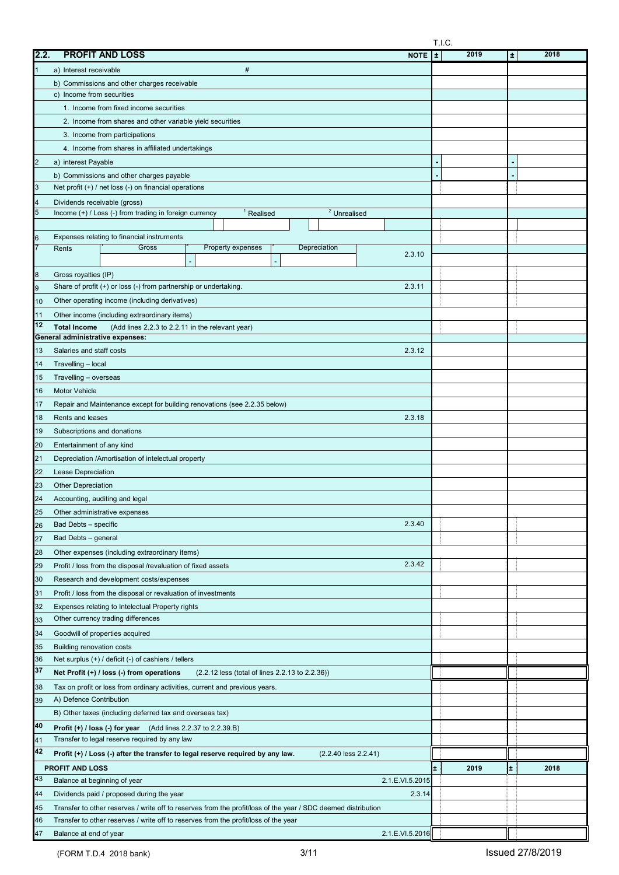|      |                                                                                                                                              | T.I.C. |      |    |      |
|------|----------------------------------------------------------------------------------------------------------------------------------------------|--------|------|----|------|
| 2.2. | <b>PROFIT AND LOSS</b><br><b>NOTE</b>                                                                                                        | ÷      | 2019 | ÷. | 2018 |
|      | $\#$<br>a) Interest receivable                                                                                                               |        |      |    |      |
|      | b) Commissions and other charges receivable                                                                                                  |        |      |    |      |
|      | c) Income from securities                                                                                                                    |        |      |    |      |
|      | 1. Income from fixed income securities                                                                                                       |        |      |    |      |
|      | 2. Income from shares and other variable yield securities                                                                                    |        |      |    |      |
|      | 3. Income from participations                                                                                                                |        |      |    |      |
|      | 4. Income from shares in affiliated undertakings                                                                                             |        |      |    |      |
|      | a) interest Payable                                                                                                                          |        |      |    |      |
|      | b) Commissions and other charges payable                                                                                                     |        |      |    |      |
| 3    | Net profit $(+)$ / net loss $(-)$ on financial operations                                                                                    |        |      |    |      |
|      |                                                                                                                                              |        |      |    |      |
|      | Dividends receivable (gross)<br>$\overline{2}$ Unrealised<br>Income (+) / Loss (-) from trading in foreign currency<br><sup>1</sup> Realised |        |      |    |      |
|      |                                                                                                                                              |        |      |    |      |
|      | Expenses relating to financial instruments                                                                                                   |        |      |    |      |
|      | Depreciation<br>Gross<br>Property expenses<br>Rents                                                                                          |        |      |    |      |
|      | 2.3.10                                                                                                                                       |        |      |    |      |
| 8    | Gross royalties (IP)                                                                                                                         |        |      |    |      |
| 9    | Share of profit (+) or loss (-) from partnership or undertaking.<br>2.3.11                                                                   |        |      |    |      |
| 10   | Other operating income (including derivatives)                                                                                               |        |      |    |      |
| 11   | Other income (including extraordinary items)                                                                                                 |        |      |    |      |
| 12   | <b>Total Income</b><br>(Add lines 2.2.3 to 2.2.11 in the relevant year)                                                                      |        |      |    |      |
|      | General administrative expenses:                                                                                                             |        |      |    |      |
| 13   | Salaries and staff costs<br>2.3.12                                                                                                           |        |      |    |      |
| 14   | Travelling - local                                                                                                                           |        |      |    |      |
| 15   | Travelling - overseas                                                                                                                        |        |      |    |      |
| 16   | <b>Motor Vehicle</b>                                                                                                                         |        |      |    |      |
| 17   | Repair and Maintenance except for building renovations (see 2.2.35 below)                                                                    |        |      |    |      |
| 18   | Rents and leases<br>2.3.18                                                                                                                   |        |      |    |      |
| 19   | Subscriptions and donations                                                                                                                  |        |      |    |      |
| 20   | Entertainment of any kind                                                                                                                    |        |      |    |      |
| 21   | Depreciation /Amortisation of intelectual property                                                                                           |        |      |    |      |
| 22   | Lease Depreciation                                                                                                                           |        |      |    |      |
| 23   | <b>Other Depreciation</b>                                                                                                                    |        |      |    |      |
| 24   | Accounting, auditing and legal                                                                                                               |        |      |    |      |
| 25   | Other administrative expenses                                                                                                                |        |      |    |      |
| 26   | 2.3.40<br>Bad Debts - specific                                                                                                               |        |      |    |      |
| 27   | Bad Debts - general                                                                                                                          |        |      |    |      |
| 28   | Other expenses (including extraordinary items)                                                                                               |        |      |    |      |
|      | 2.3.42                                                                                                                                       |        |      |    |      |
| 29   | Profit / loss from the disposal /revaluation of fixed assets                                                                                 |        |      |    |      |
| 30   | Research and development costs/expenses                                                                                                      |        |      |    |      |
| 31   | Profit / loss from the disposal or revaluation of investments                                                                                |        |      |    |      |
| 32   | Expenses relating to Intelectual Property rights                                                                                             |        |      |    |      |
| 33   | Other currency trading differences                                                                                                           |        |      |    |      |
| 34   | Goodwill of properties acquired                                                                                                              |        |      |    |      |
| 35   | <b>Building renovation costs</b>                                                                                                             |        |      |    |      |
| 36   | Net surplus $(+)$ / deficit $(-)$ of cashiers / tellers                                                                                      |        |      |    |      |
| 37   | Net Profit (+) / loss (-) from operations<br>(2.2.12 less (total of lines 2.2.13 to 2.2.36))                                                 |        |      |    |      |
| 38   | Tax on profit or loss from ordinary activities, current and previous years.                                                                  |        |      |    |      |
| 39   | A) Defence Contribution                                                                                                                      |        |      |    |      |
|      | B) Other taxes (including deferred tax and overseas tax)                                                                                     |        |      |    |      |
| 40   | Profit (+) / loss (-) for year<br>(Add lines 2.2.37 to 2.2.39.B)                                                                             |        |      |    |      |
| 41   | Transfer to legal reserve required by any law                                                                                                |        |      |    |      |
| 42   | Profit (+) / Loss (-) after the transfer to legal reserve required by any law.<br>$(2.2.40$ less $2.2.41)$                                   |        |      |    |      |
|      | PROFIT AND LOSS                                                                                                                              | ±.     | 2019 | ±. | 2018 |
| 43   | Balance at beginning of year<br>2.1.E.VI.5.2015                                                                                              |        |      |    |      |
| 44   | Dividends paid / proposed during the year<br>2.3.14                                                                                          |        |      |    |      |
| 45   | Transfer to other reserves / write off to reserves from the profit/loss of the year / SDC deemed distribution                                |        |      |    |      |
| 46   | Transfer to other reserves / write off to reserves from the profit/loss of the year                                                          |        |      |    |      |
| 47   | 2.1.E.VI.5.2016<br>Balance at end of year                                                                                                    |        |      |    |      |